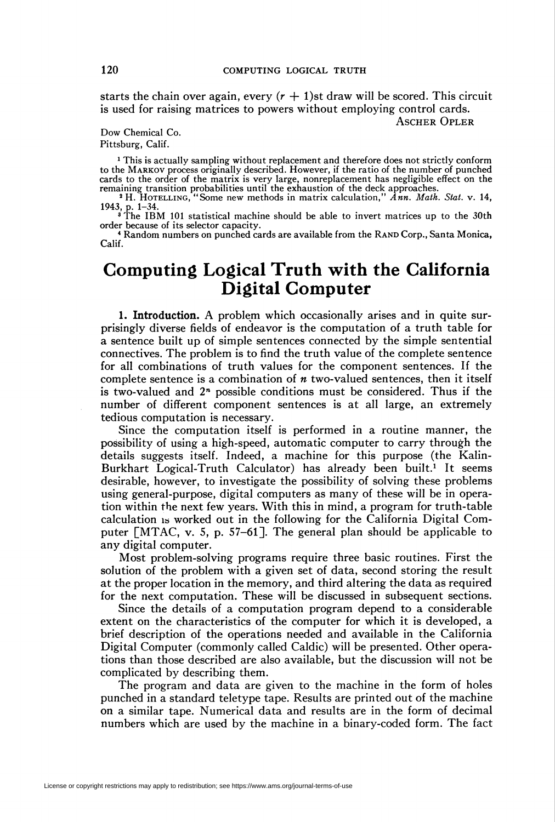starts the chain over again, every  $(r + 1)$ st draw will be scored. This circuit is used for raising matrices to powers without employing control cards.

Ascher Opler

Dow Chemical Co. Pittsburg, Calif.

<sup>1</sup> This is actually sampling without replacement and therefore does not strictly conform to the Markov process originally described. However, if the ratio of the number of punched cards to the order of the matrix is very large, nonreplacement has negligible effect on the remaining transition probabilities until the exhaustion of the deck approaches.<br><sup>2</sup> H. HOTELLING, "Some new methods in matrix cal

1943, p. 1-34. 3 The IBM 101 statistical machine should be able to invert matrices up to the 30th

order because of its selector capacity.

<sup>4</sup> Random numbers on punched cards are available from the RAND Corp., Santa Monica, Calif.

## Computing Logical Truth with the California Digital Computer

1. Introduction. A problem which occasionally arises and in quite surprisingly diverse fields of endeavor is the computation of a truth table for a sentence built up of simple sentences connected by the simple sentential connectives. The problem is to find the truth value of the complete sentence for all combinations of truth values for the component sentences. If the complete sentence is a combination of  $n$  two-valued sentences, then it itself is two-valued and  $2<sup>n</sup>$  possible conditions must be considered. Thus if the number of different component sentences is at all large, an extremely tedious computation is necessary.

Since the computation itself is performed in a routine manner, the possibility of using a high-speed, automatic computer to carry through the details suggests itself. Indeed, a machine for this purpose (the Kalin-Burkhart Logical-Truth Calculator) has already been built.<sup>1</sup> It seems desirable, however, to investigate the possibility of solving these problems using general-purpose, digital computers as many of these will be in operation within the next few years. With this in mind, a program for truth-table calculation is worked out in the following for the California Digital Computer [MTAC, v. 5, p. 57-61]. The general plan should be applicable to any digital computer.

Most problem-solving programs require three basic routines. First the solution of the problem with a given set of data, second storing the result at the proper location in the memory, and third altering the data as required for the next computation. These will be discussed in subsequent sections.

Since the details of a computation program depend to a considerable extent on the characteristics of the computer for which it is developed, a brief description of the operations needed and available in the California Digital Computer (commonly called Caldic) will be presented. Other operations than those described are also available, but the discussion will not be complicated by describing them.

The program and data are given to the machine in the form of holes punched in a standard teletype tape. Results are printed out of the machine on a similar tape. Numerical data and results are in the form of decimal numbers which are used by the machine in a binary-coded form. The fact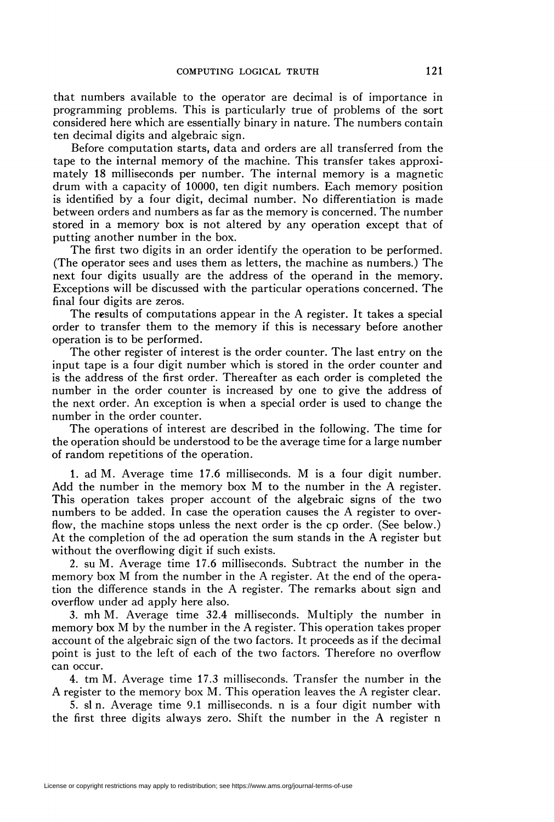that numbers available to the operator are decimal is of importance in programming problems. This is particularly true of problems of the sort considered here which are essentially binary in nature. The numbers contain ten decimal digits and algebraic sign.

Before computation starts, data and orders are all transferred from the tape to the internal memory of the machine. This transfer takes approximately 18 milliseconds per number. The internal memory is a magnetic drum with a capacity of 10000, ten digit numbers. Each memory position is identified by a four digit, decimal number. No differentiation is made between orders and numbers as far as the memory is concerned. The number stored in a memory box is not altered by any operation except that of putting another number in the box.

The first two digits in an order identify the operation to be performed. (The operator sees and uses them as letters, the machine as numbers.) The next four digits usually are the address of the operand in the memory. Exceptions will be discussed with the particular operations concerned. The final four digits are zeros.

The results of computations appear in the A register. It takes a special order to transfer them to the memory if this is necessary before another operation is to be performed.

The other register of interest is the order counter. The last entry on the input tape is a four digit number which is stored in the order counter and is the address of the first order. Thereafter as each order is completed the number in the order counter is increased by one to give the address of the next order. An exception is when a special order is used to change the number in the order counter.

The operations of interest are described in the following. The time for the operation should be understood to be the average time for a large number of random repetitions of the operation.

1. ad M. Average time 17.6 milliseconds. M is a four digit number. Add the number in the memory box M to the number in the A register. This operation takes proper account of the algebraic signs of the two numbers to be added. In case the operation causes the A register to overflow, the machine stops unless the next order is the cp order. (See below.) At the completion of the ad operation the sum stands in the A register but without the overflowing digit if such exists.

2. su M. Average time 17.6 milliseconds. Subtract the number in the memory box M from the number in the A register. At the end of the operation the difference stands in the A register. The remarks about sign and overflow under ad apply here also.

3. mh M. Average time 32.4 milliseconds. Multiply the number in memory box M by the number in the A register. This operation takes proper account of the algebraic sign of the two factors. It proceeds as if the decimal point is just to the left of each of the two factors. Therefore no overflow can occur.

4. tm M. Average time 17.3 milliseconds. Transfer the number in the A register to the memory box M. This operation leaves the A register clear.

5. si n. Average time 9.1 milliseconds, n is a four digit number with the first three digits always zero. Shift the number in the A register n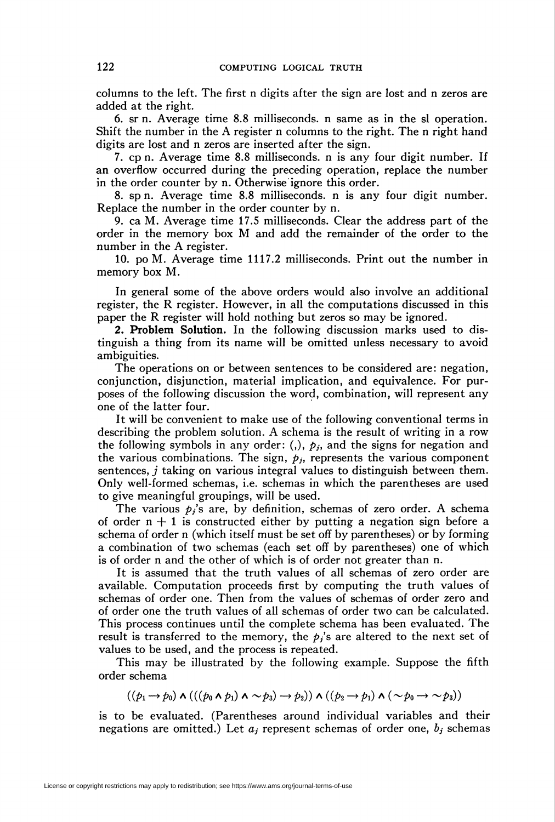columns to the left. The first n digits after the sign are lost and n zeros are added at the right.

6. sr n. Average time 8.8 milliseconds, n same as in the si operation. Shift the number in the A register n columns to the right. The n right hand digits are lost and n zeros are inserted after the sign.

7. cp n. Average time 8.8 milliseconds, n is any four digit number. If an overflow occurred during the preceding operation, replace the number in the order counter by n. Otherwise ignore this order.

8. sp n. Average time 8.8 milliseconds, n is any four digit number. Replace the number in the order counter by n.

9. ca M. Average time 17.5 milliseconds. Clear the address part of the order in the memory box M and add the remainder of the order to the number in the A register.

10. po M. Average time 1117.2 milliseconds. Print out the number in memory box M.

In general some of the above orders would also involve an additional register, the R register. However, in all the computations discussed in this paper the R register will hold nothing but zeros so may be ignored.

2. Problem Solution. In the following discussion marks used to distinguish a thing from its name will be omitted unless necessary to avoid ambiguities.

The operations on or between sentences to be considered are: negation, conjunction, disjunction, material implication, and equivalence. For purposes of the following discussion the word, combination, will represent any one of the latter four.

It will be convenient to make use of the following conventional terms in describing the problem solution. A schema is the result of writing in a row the following symbols in any order: (,),  $p_j$ , and the signs for negation and the various combinations. The sign,  $p_j$ , represents the various component sentences, j taking on various integral values to distinguish between them. Only well-formed schemas, i.e. schemas in which the parentheses are used to give meaningful groupings, will be used.

The various  $p_i$ 's are, by definition, schemas of zero order. A schema of order  $n + 1$  is constructed either by putting a negation sign before a schema of order n (which itself must be set off by parentheses) or by forming a combination of two schemas (each set off by parentheses) one of which is of order n and the other of which is of order not greater than n.

It is assumed that the truth values of all schemas of zero order are available. Computation proceeds first by computing the truth values of schemas of order one. Then from the values of schemas of order zero and of order one the truth values of all schémas of order two can be calculated. This process continues until the complete schema has been evaluated. The result is transferred to the memory, the  $p_i$ 's are altered to the next set of values to be used, and the process is repeated.

This may be illustrated by the following example. Suppose the fifth order schema

 $((p_1 \rightarrow p_0) \land (((p_0 \land p_1) \land \sim p_3) \rightarrow p_2)) \land ((p_2 \rightarrow p_1) \land (\sim p_0 \rightarrow \sim p_3))$ 

is to be evaluated. (Parentheses around individual variables and their negations are omitted.) Let  $a_j$  represent schemas of order one,  $b_j$  schemas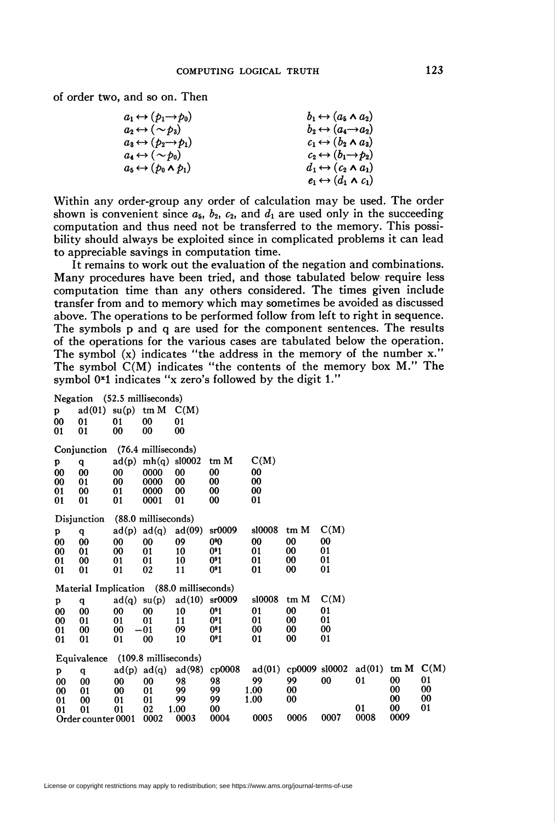of order two, and so on. Then

| $a_1 \leftrightarrow (p_1 \rightarrow p_0)$ | $b_1 \leftrightarrow (a_5 \wedge a_2)$      |
|---------------------------------------------|---------------------------------------------|
| $a_2 \leftrightarrow (\sim b_3)$            | $b_2 \leftrightarrow (a_4 \rightarrow a_2)$ |
| $a_3 \leftrightarrow (b_2 \rightarrow b_1)$ | $c_1 \leftrightarrow (b_2 \wedge a_3)$      |
| $a_4 \leftrightarrow (\sim b_0)$            | $c_2 \leftrightarrow (b_1 \rightarrow b_2)$ |
| $a_5 \leftrightarrow (p_0 \wedge p_1)$      | $d_1 \leftrightarrow (c_2 \wedge a_1)$      |
|                                             | $e_1 \leftrightarrow (d_1 \wedge c_1)$      |

Within any order-group any order of calculation may be used. The order shown is convenient since  $a_5$ ,  $b_2$ ,  $c_2$ , and  $d_1$  are used only in the succeeding computation and thus need not be transferred to the memory. This possibility should always be exploited since in complicated problems it can lead to appreciable savings in computation time.

It remains to work out the evaluation of the negation and combinations. Many procedures have been tried, and those tabulated below require less computation time than any others considered. The times given include transfer from and to memory which may sometimes be avoided as discussed above. The operations to be performed follow from left to right in sequence. The symbols p and q are used for the component sentences. The results of the operations for the various cases are tabulated below the operation. The symbol (x) indicates "the address in the memory of the number x." The symbol  $C(M)$  indicates "the contents of the memory box  $M$ ." The symbol  $0^x1$  indicates "x zero's followed by the digit 1."

|    | Negation (52.5 milliseconds) |       |                                |                                          |                 |        |               |      |        |      |      |
|----|------------------------------|-------|--------------------------------|------------------------------------------|-----------------|--------|---------------|------|--------|------|------|
| p  | $ad(01)$ su(p) tm M          |       |                                | C(M)                                     |                 |        |               |      |        |      |      |
| 00 | 01                           | 01    | 00                             | 01                                       |                 |        |               |      |        |      |      |
| 01 | 01                           | 00    | 00                             | 00                                       |                 |        |               |      |        |      |      |
|    |                              |       |                                |                                          |                 |        |               |      |        |      |      |
|    | Conjunction                  |       | (76.4 milliseconds)            |                                          |                 |        |               |      |        |      |      |
| p  | q                            |       | $ad(p)$ mh(q) sl0002           |                                          | tm M            | C(M)   |               |      |        |      |      |
| 00 | 00                           | 00    | 0000                           | 00                                       | 00              | 00     |               |      |        |      |      |
| 00 | 01                           | 00    | 0000                           | 00                                       | 00              | 00     |               |      |        |      |      |
| 01 | 00                           | 01    | 0000                           | 00                                       | 00              | 00     |               |      |        |      |      |
| 01 | 01                           | 01    | 0001                           | 01                                       | 00              | 01     |               |      |        |      |      |
|    |                              |       |                                |                                          |                 |        |               |      |        |      |      |
|    | Disjunction                  |       | (88.0 milliseconds)            |                                          |                 |        |               |      |        |      |      |
| p  | q                            |       | $ad(p)$ $ad(q)$                | ad(09)                                   | sr0009          | s10008 | tm M          | C(M) |        |      |      |
| 00 | 00                           | 00    | 00                             | 09                                       | 0%              | 00     | 00            | 00   |        |      |      |
| 00 | 01                           | 00    | 01                             | 10                                       | 0 <sup>91</sup> | 01     | 00            | 01   |        |      |      |
| 01 | 00                           | 01    | 01                             | 10                                       | 0 <sup>91</sup> | 01     | 00            | 01   |        |      |      |
| 01 | 01                           | 01    | 02                             | 11                                       | 0 <sup>91</sup> | 01     | 00            | 01   |        |      |      |
|    |                              |       |                                |                                          |                 |        |               |      |        |      |      |
|    |                              |       |                                | Material Implication (88.0 milliseconds) |                 |        |               |      |        |      |      |
| p  | q                            | ad(q) | su(p)                          | ad(10)                                   | sr0009          | s10008 | tm M          | C(M) |        |      |      |
| 00 | 00                           | 00    | 00                             | 10                                       | $091$           | 01     | 00            | 01   |        |      |      |
| 00 | 01                           | 01    | 01                             | 11                                       | 0 <sup>91</sup> | 01     | 00            | 01   |        |      |      |
| 01 | 00                           | 00    | $-01$                          | 09                                       | 0 <sup>91</sup> | 00     | 00            | 00   |        |      |      |
| 01 | 01                           | 01    | 00                             | 10                                       | 0 <sup>91</sup> | 01     | 00            | 01   |        |      |      |
|    | Equivalence                  |       | $(109.8 \text{ milliseconds})$ |                                          |                 |        |               |      |        |      |      |
|    |                              |       |                                |                                          |                 |        | cp0009 sl0002 |      | ad(01) | tm M | C(M) |
| p  | q                            |       | $ad(p)$ $ad(q)$                | ad(98)                                   | cp0008          | ad(01) |               |      |        |      |      |
| 00 | 00                           | 00    | 00                             | 98                                       | 98              | 99     | 99            | 00   | 01     | 00   | 01   |
| 00 | 01                           | 00    | 01                             | 99                                       | 99              | 1.00   | 00            |      |        | 00   | 00   |
| 01 | 00                           | 01    | 01                             | 99                                       | 99              | 1.00   | 00            |      |        | 00   | 00   |
| 01 | 01                           | 01    | 02                             | 1.00                                     | 00              |        |               |      | 01     | 00   | 01   |
|    | Order counter 0001           |       | 0002                           | 0003                                     | 0004            | 0005   | 0006          | 0007 | 0008   | 0009 |      |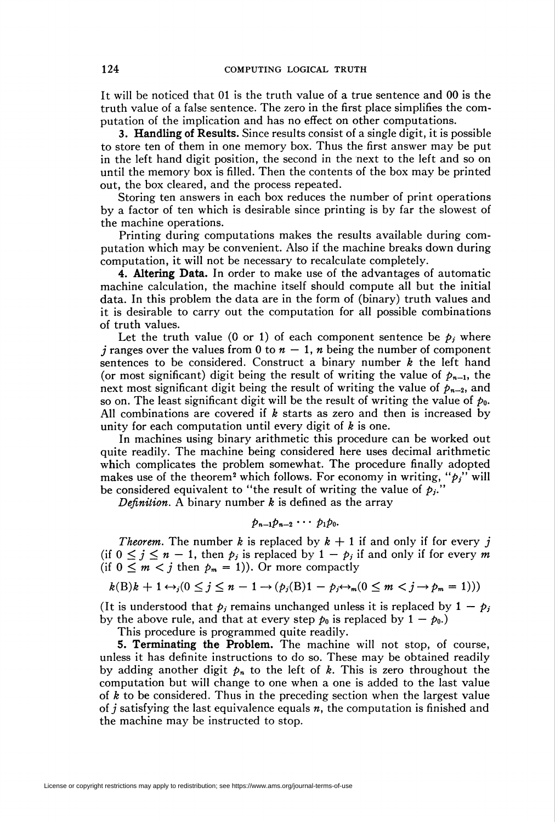It will be noticed that 01 is the truth value of a true sentence and 00 is the truth value of a false sentence. The zero in the first place simplifies the computation of the implication and has no effect on other computations.

3. Handling of Results. Since results consist of a single digit, it is possible to store ten of them in one memory box. Thus the first answer may be put in the left hand digit position, the second in the next to the left and so on until the memory box is filled. Then the contents of the box may be printed out, the box cleared, and the process repeated.

Storing ten answers in each box reduces the number of print operations by a factor of ten which is desirable since printing is by far the slowest of the machine operations.

Printing during computations makes the results available during computation which may be convenient. Also if the machine breaks down during computation, it will not be necessary to recalculate completely.

4. Altering Data. In order to make use of the advantages of automatic machine calculation, the machine itself should compute all but the initial data. In this problem the data are in the form of (binary) truth values and it is desirable to carry out the computation for all possible combinations of truth values.

Let the truth value (0 or 1) of each component sentence be  $p_i$  where *j* ranges over the values from 0 to  $n - 1$ , *n* being the number of component sentences to be considered. Construct a binary number  $k$  the left hand (or most significant) digit being the result of writing the value of  $p_{n-1}$ , the next most significant digit being the result of writing the value of  $p_{n-2}$ , and so on. The least significant digit will be the result of writing the value of  $p_0$ . All combinations are covered if  $k$  starts as zero and then is increased by unity for each computation until every digit of  $k$  is one.

In machines using binary arithmetic this procedure can be worked out quite readily. The machine being considered here uses decimal arithmetic which complicates the problem somewhat. The procedure finally adopted makes use of the theorem<sup>2</sup> which follows. For economy in writing, " $p_j$ " will be considered equivalent to "the result of writing the value of  $p_i$ ."

Definition. A binary number  $k$  is defined as the array

$$
p_{n-1}p_{n-2}\cdots p_1p_0.
$$

*Theorem.* The number k is replaced by  $k + 1$  if and only if for every j (if  $0 \le j \le n - 1$ , then  $p_j$  is replaced by  $1 - p_j$  if and only if for every m (if  $0 \leq m \leq j$  then  $p_m = 1$ )). Or more compactly

$$
k(B)k + 1 \leftrightarrow_j (0 \leq j \leq n-1 \rightarrow (p_j(B)1 - p_j \leftrightarrow_m (0 \leq m < j \rightarrow p_m = 1)))
$$

(It is understood that  $p_i$  remains unchanged unless it is replaced by  $1 - p_i$ by the above rule, and that at every step  $p_0$  is replaced by  $1 - p_0$ .)

This procedure is programmed quite readily.

5. Terminating the Problem. The machine will not stop, of course, unless it has definite instructions to do so. These may be obtained readily by adding another digit  $p_n$  to the left of k. This is zero throughout the computation but will change to one when a one is added to the last value of  $k$  to be considered. Thus in the preceding section when the largest value of j satisfying the last equivalence equals  $n$ , the computation is finished and the machine may be instructed to stop.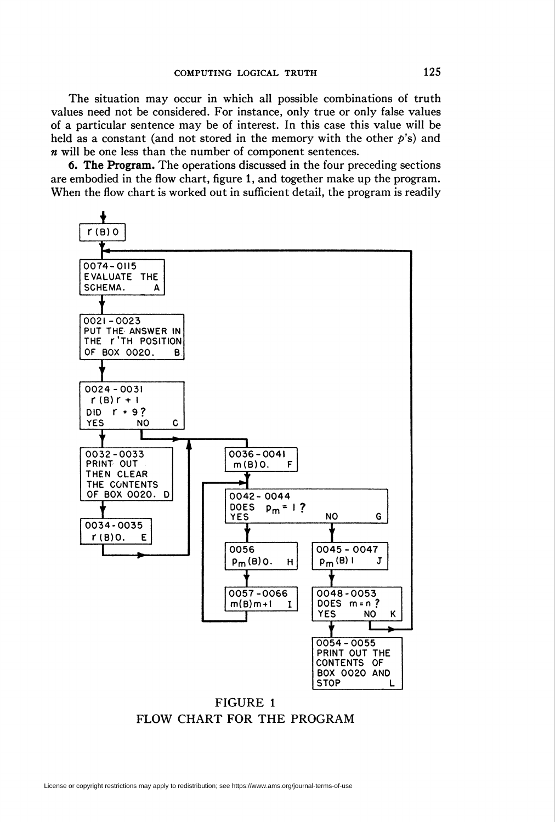The situation may occur in which all possible combinations of truth values need not be considered. For instance, only true or only false values of a particular sentence may be of interest. In this case this value will be held as a constant (and not stored in the memory with the other  $p$ 's) and  $n$  will be one less than the number of component sentences.

6. The Program. The operations discussed in the four preceding sections are embodied in the flow chart, figure 1, and together make up the program. When the flow chart is worked out in sufficient detail, the program is readily



FIGURE 1 FLOW CHART FOR THE PROGRAM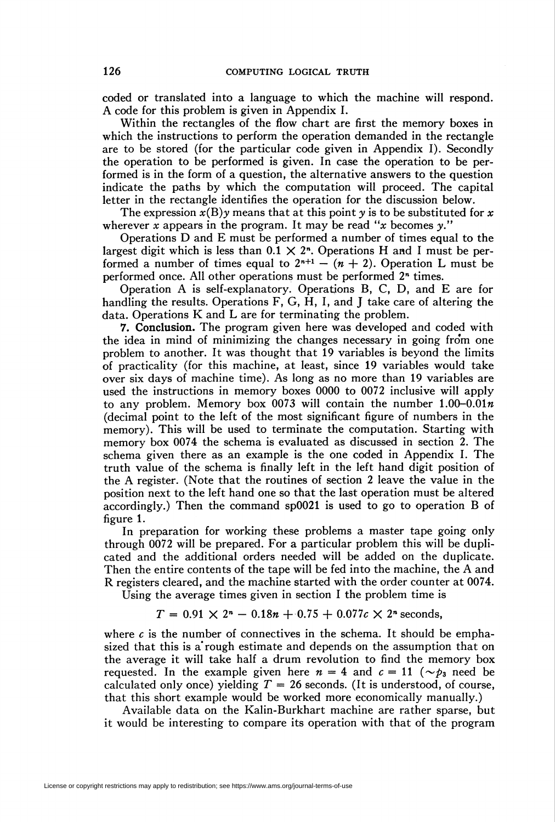coded or translated into a language to which the machine will respond. A code for this problem is given in Appendix I.

Within the rectangles of the flow chart are first the memory boxes in which the instructions to perform the operation demanded in the rectangle are to be stored (for the particular code given in Appendix I). Secondly the operation to be performed is given. In case the operation to be performed is in the form of a question, the alternative answers to the question indicate the paths by which the computation will proceed. The capital letter in the rectangle identifies the operation for the discussion below.

The expression  $x(B)y$  means that at this point y is to be substituted for x wherever x appears in the program. It may be read "x becomes  $y$ ."

Operations D and E must be performed a number of times equal to the largest digit which is less than  $0.1 \times 2<sup>n</sup>$ . Operations H and I must be performed a number of times equal to  $2^{n+1} - (n + 2)$ . Operation L must be performed once. All other operations must be performed 2<sup>n</sup> times.

Operation A is self-explanatory. Operations B, C, D, and E are for handling the results. Operations F, G, H, I, and J take care of altering the data. Operations K and L are for terminating the problem.

7. Conclusion. The program given here was developed and coded with the idea in mind of minimizing the changes necessary in going fro'm one problem to another. It was thought that 19 variables is beyond the limits of practicality (for this machine, at least, since 19 variables would take over six days of machine time). As long as no more than 19 variables are used the instructions in memory boxes 0000 to 0072 inclusive will apply to any problem. Memory box 0073 will contain the number  $1.00-0.01n$ (decimal point to the left of the most significant figure of numbers in the memory). This will be used to terminate the computation. Starting with memory box 0074 the schema is evaluated as discussed in section 2. The schema given there as an example is the one coded in Appendix I. The truth value of the schema is finally left in the left hand digit position of the A register. (Note that the routines of section 2 leave the value in the position next to the left hand one so that the last operation must be altered accordingly.) Then the command sp0021 is used to go to operation B of figure 1.

In preparation for working these problems a master tape going only through 0072 will be prepared. For a particular problem this will be duplicated and the additional orders needed will be added on the duplicate. Then the entire contents of the tape will be fed into the machine, the A and R registers cleared, and the machine started with the order counter at 0074.

Using the average times given in section I the problem time is

$$
T = 0.91 \times 2^{n} - 0.18n + 0.75 + 0.077c \times 2^{n}
$$
 seconds,

where  $c$  is the number of connectives in the schema. It should be emphasized that this is a'rough estimate and depends on the assumption that on the average it will take half a drum revolution to find the memory box requested. In the example given here  $n = 4$  and  $c = 11$  ( $\sim p_3$  need be calculated only once) yielding  $T = 26$  seconds. (It is understood, of course, that this short example would be worked more economically manually.)

Available data on the Kalin-Burkhart machine are rather sparse, but it would be interesting to compare its operation with that of the program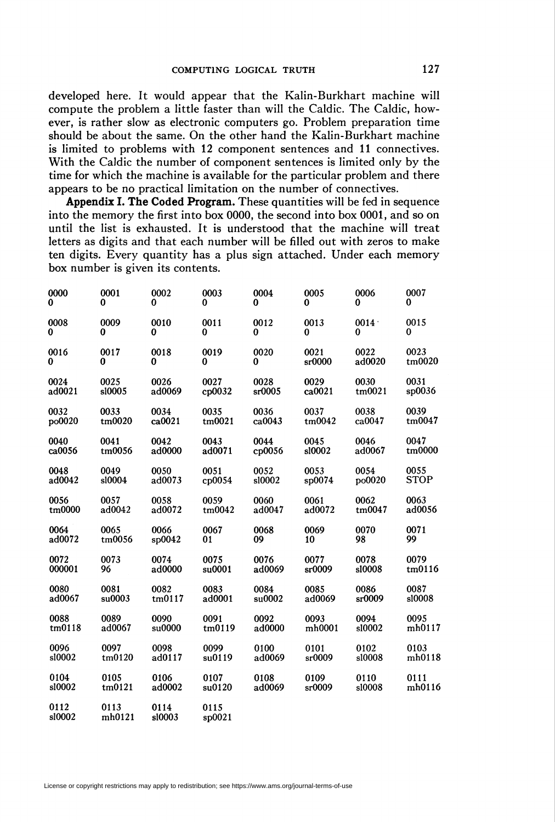developed here. It would appear that the Kalin-Burkhart machine will compute the problem a little faster than will the Caldic. The Caldic, however, is rather slow as electronic computers go. Problem preparation time should be about the same. On the other hand the Kalin-Burkhart machine is limited to problems with 12 component sentences and 11 connectives. With the Caldic the number of component sentences is limited only by the time for which the machine is available for the particular problem and there appears to be no practical limitation on the number of connectives.

Appendix I. The Coded Program. These quantities will be fed in sequence into the memory the first into box 0000, the second into box 0001, and so on until the list is exhausted. It is understood that the machine will treat letters as digits and that each number will be filled out with zeros to make ten digits. Every quantity has a plus sign attached. Under each memory box number is given its contents.

| 0000           | 0001           | 0002           | 0003            | 0004   | 0005   | 0006   | 0007        |
|----------------|----------------|----------------|-----------------|--------|--------|--------|-------------|
| 0              | 0              | 0              | 0               | 0      | 0      | 0      | 0           |
| 0008           | 0009           | 0010           | 0011            | 0012   | 0013   | 0014   | 0015        |
| $\bf{0}$       | 0              | 0              | 0               | 0      | 0      | 0      | 0           |
| 0016           | 0017           | 0018           | 0019            | 0020   | 0021   | 0022   | 0023        |
| 0              | 0              | 0              | 0               | 0      | sr0000 | ad0020 | tm0020      |
| 0024           | 0025           | 0026           | 0027            | 0028   | 0029   | 0030   | 0031        |
| ad0021         | s10005         | ad0069         | cp0032          | sr0005 | ca0021 | tm0021 | sp0036      |
| 0032           | 0033           | 0034           | 0035            | 0036   | 0037   | 0038   | 0039        |
| po0020         | tm0020         | ca0021         | tm0021          | ca0043 | tm0042 | ca0047 | tm0047      |
| 0040           | 0041           | 0042           | 0043            | 0044   | 0045   | 0046   | 0047        |
| ca0056         | tm0056         | ad0000         | ad0071          | cp0056 | s10002 | ad0067 | tm0000      |
| 0048           | 0049           | 0050           | 0051            | 0052   | 0053   | 0054   | 0055        |
| ad0042         | s10004         | ad0073         | cp0054          | s10002 | sp0074 | po0020 | <b>STOP</b> |
| 0056           | 0057           | 0058           | 0059            | 0060   | 0061   | 0062   | 0063        |
| tm0000         | ad0042         | ad0072         | tm0042          | ad0047 | ad0072 | tm0047 | ad0056      |
| 0064           | 0065           | 0066           | 0067            | 0068   | 0069   | 0070   | 0071        |
| ad0072         | tm0056         | \$p0042        | 01              | 09     | 10     | 98     | 99          |
| 0072           | 0073           | 0074           | 0075            | 0076   | 0077   | 0078   | 0079        |
| 000001         | 96             | ad0000         | su0001          | ad0069 | sr0009 | s10008 | tm0116      |
| 0080           | 0081           | 0082           | 0083            | 0084   | 0085   | 0086   | 0087        |
| ad0067         | su0003         | tm0117         | ad0001          | su0002 | ad0069 | sr0009 | s10008      |
| 0088           | 0089           | 0090           | 0091            | 0092   | 0093   | 0094   | 0095        |
| tm0118         | ad0067         | su0000         | tm0119          | ad0000 | mh0001 | s10002 | mh0117      |
| 0096           | 0097           | 0098           | 0099            | 0100   | 0101   | 0102   | 0103        |
| s10002         | tm0120         | ad0117         | su0119          | ad0069 | sr0009 | s10008 | mh0118      |
| 0104           | 0105           | 0106           | 0107            | 0108   | 0109   | 0110   | 0111        |
| sl0002         | tm0121         | ad0002         | su0120          | ad0069 | sr0009 | s10008 | mh0116      |
| 0112<br>s10002 | 0113<br>mh0121 | 0114<br>s10003 | 0115<br>\$p0021 |        |        |        |             |